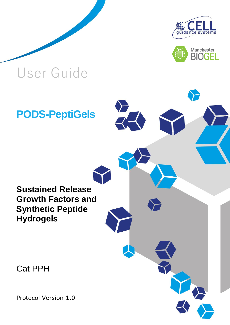



## User Guide

**PODS-PeptiGels**

## **Sustained Release Growth Factors and Synthetic Peptide Hydrogels**

Cat PPH

Protocol Version 1.0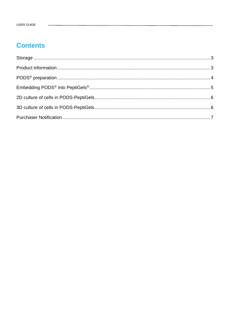## **Contents**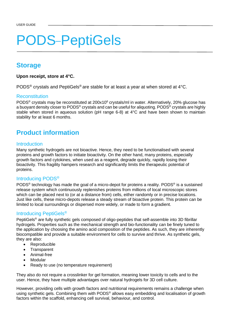# **PODS-PeptiGels**

## <span id="page-2-0"></span>**Storage**

#### **Upon receipt, store at 4°C.**

PODS® crystals and PeptiGels® are stable for at least a year at when stored at 4°C.

#### Reconstitution

PODS<sup>®</sup> crystals may be reconstituted at 200x10<sup>6</sup> crystals/ml in water. Alternatively, 20% glucose has a buoyant density closer to PODS® crystals and can be useful for aliquoting. PODS® crystals are highly stable when stored in aqueous solution (pH range 6-8) at 4°C and have been shown to maintain stability for at least 6 months.

## <span id="page-2-1"></span>**Product information**

#### **Introduction**

Many synthetic hydrogels are not bioactive. Hence, they need to be functionalised with several proteins and growth factors to initiate bioactivity. On the other hand, many proteins, especially growth factors and cytokines, when used as a reagent, degrade quickly, rapidly losing their bioactivity. This fragility hampers research and significantly limits the therapeutic potential of proteins.

#### Introducing PODS®

PODS<sup>®</sup> technology has made the goal of a micro-depot for proteins a reality. PODS<sup>®</sup> is a sustained release system which continuously replenishes proteins from millions of local microscopic stores which can be placed next to (or at a distance from) cells, either randomly or in precise locations. Just like cells, these micro-depots release a steady stream of bioactive protein. This protein can be limited to local surroundings or dispersed more widely, or made to form a gradient.

#### Introducing PeptiGels®

PeptiGels® are fully synthetic gels composed of oligo-peptides that self-assemble into 3D fibrillar hydrogels. Properties such as the mechanical strength and bio-functionality can be finely tuned to the application by choosing the amino acid composition of the peptides. As such, they are inherently biocompatible and provide a suitable environment for cells to survive and thrive. As synthetic gels, they are also:

- Reproducible
- Transparent
- Animal-free
- **Modular**
- Ready to use (no temperature requirement)

They also do not require a crosslinker for gel formation, meaning lower toxicity to cells and to the user. Hence, they have multiple advantages over natural hydrogels for 3D cell culture.

However, providing cells with growth factors and nutritional requirements remains a challenge when using synthetic gels. Combining them with PODS® allows easy embedding and localisation of growth factors within the scaffold, enhancing cell survival, behaviour, and control.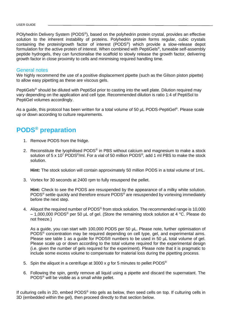POlyhedrin Delivery System (PODS®), based on the polyhedrin protein crystal, provides an effective solution to the inherent instability of proteins. Polyhedrin protein forms regular, cubic crystals containing the protein/growth factor of interest (PODS® ) which provide a slow-release depot formulation for the active protein of interest. When combined with PeptiGels® , tuneable self-assembly peptide hydrogels, they can functionalise the scaffold to slowly release the growth factor, delivering growth factor in close proximity to cells and minimising required handling time.

#### General notes

We highly recommend the use of a positive displacement pipette (such as the Gilson piston pipette) to allow easy pipetting as these are viscous gels.

PeptiGels<sup>®</sup> should be diluted with PeptiSol prior to casting into the well plate. Dilution required may vary depending on the application and cell type. Recommended dilution is ratio 1:4 of PeptiSol to PeptiGel volumes accordingly.

As a guide, this protocol has been written for a total volume of 50 µL PODS-PeptiGel®. Please scale up or down according to culture requirements.

## <span id="page-3-0"></span>**PODS® preparation**

- 1. Remove PODS from the fridge.
- 2. Reconstitute the lyophilised PODS<sup>®</sup> in PBS without calcium and magnesium to make a stock solution of 5 x 10<sup>7</sup> PODS<sup>®</sup>/ml. For a vial of 50 million PODS<sup>®</sup>, add 1 ml PBS to make the stock solution.

**Hint:** The stock solution will contain approximately 50 million PODS in a total volume of 1mL.

3. Vortex for 30 seconds at 2400 rpm to fully resuspend the pellet.

**Hint:** Check to see the PODS are resuspended by the appearance of a milky white solution. PODS<sup>®</sup> settle quickly and therefore ensure PODS<sup>®</sup> are resuspended by vortexing immediately before the next step.

4. Aliquot the required number of PODS<sup>®</sup> from stock solution. The recommended range is 10,000  $-$  1,000,000 PODS<sup>®</sup> per 50 µL of gel. (Store the remaining stock solution at 4 °C. Please do not freeze.)

As a guide, you can start with 100,000 PODS per 50 µL. Please note, further optimisation of PODS® concentration may be required depending on cell type, gel, and experimental aims. Please see table 1 as a guide for PODS® numbers to be used in 50 µL total volume of gel. Please scale up or down according to the total volume required for the experimental design (i.e. given the number of gels required for the experiment). Please note that it is pragmatic to include some excess volume to compensate for material loss during the pipetting process.

- 5. Spin the aliquot in a centrifuge at 3000 x *g* for 5 minutes to pellet PODS®
- 6. Following the spin, gently remove all liquid using a pipette and discard the supernatant. The PODS® will be visible as a small white pellet.

If culturing cells in 2D, embed PODS<sup>®</sup> into gels as below, then seed cells on top. If culturing cells in 3D (embedded within the gel), then proceed directly to that section below.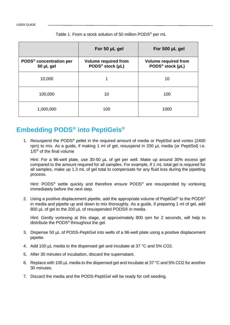|                                                  | For 50 µL gel                                               | For 500 µL gel                                              |
|--------------------------------------------------|-------------------------------------------------------------|-------------------------------------------------------------|
| PODS <sup>®</sup> concentration per<br>50 µL gel | <b>Volume required from</b><br>PODS <sup>®</sup> stock (µL) | <b>Volume required from</b><br>PODS <sup>®</sup> stock (µL) |
| 10,000                                           |                                                             | 10                                                          |
| 100,000                                          | 10                                                          | 100                                                         |
| 1,000,000                                        | 100                                                         | 1000                                                        |

#### Table 1. From a stock solution of 50 million PODS® per mL

## <span id="page-4-0"></span>**Embedding PODS® into PeptiGels®**

1. Resuspend the PODS® pellet in the required amount of media or PeptiSol and vortex (2400 rpm) to mix. As a guide, if making 1 ml of gel, resuspend in 200 µL media (or PeptiSol) i.e.  $1/5<sup>th</sup>$  of the final volume

Hint: For a 96-well plate, use 30-50 µL of gel per well. Make up around 30% excess gel compared to the amount required for all samples. For example, if 1 mL total gel is required for all samples, make up 1.3 mL of gel total to compensate for any fluid loss during the pipetting process.

Hint: PODS<sup>®</sup> settle quickly and therefore ensure PODS<sup>®</sup> are resuspended by vortexing immediately before the next step.

2. Using a positive displacement pipette, add the appropriate volume of PeptiGel® to the PODS<sup>®</sup> in media and pipette up and down to mix thoroughly. As a guide, if preparing 1 ml of gel, add 800 µL of gel to the 200 µL of resuspended PODS® in media.

Hint: Gently vortexing at this stage, at approximately 800 rpm for 2 seconds, will help to distribute the PODS® throughout the gel.

- 3. Dispense 50 µL of PODS-PeptiGel into wells of a 96-well plate using a positive displacement pipette.
- 4. Add 100 µL media to the dispensed gel and incubate at 37 °C and 5% CO2.
- 5. After 30 minutes of incubation, discard the supernatant.
- 6. Replace with 100 µL media to the dispensed gel and incubate at 37 °C and 5% CO2 for another 30 minutes.
- 7. Discard the media and the PODS-PeptiGel will be ready for cell seeding.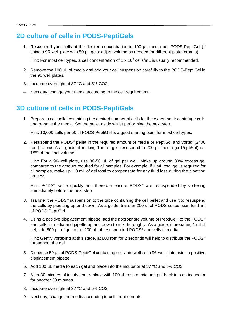## <span id="page-5-0"></span>**2D culture of cells in PODS-PeptiGels**

1. Resuspend your cells at the desired concentration in 100 µL media per PODS-PeptiGel (if using a 96-well plate with 50  $\mu$ L gels: adjust volume as needed for different plate formats).

Hint: For most cell types, a cell concentration of 1 x 10<sup>6</sup> cells/mL is usually recommended.

- 2. Remove the 100 µL of media and add your cell suspension carefully to the PODS-PeptiGel in the 96 well plates.
- 3. Incubate overnight at 37 °C and 5% CO2.
- 4. Next day, change your media according to the cell requirement.

## <span id="page-5-1"></span>**3D culture of cells in PODS-PeptiGels**

1. Prepare a cell pellet containing the desired number of cells for the experiment: centrifuge cells and remove the media. Set the pellet aside whilst performing the next step.

Hint: 10,000 cells per 50 ul PODS-PeptiGel is a good starting point for most cell types.

2. Resuspend the PODS® pellet in the required amount of media or PeptiSol and vortex (2400 rpm) to mix. As a guide, if making 1 ml of gel, resuspend in 200 µL media (or PeptiSol) i.e.  $1/5$ <sup>th</sup> of the final volume

Hint: For a 96-well plate, use 30-50 µL of gel per well. Make up around 30% excess gel compared to the amount required for all samples. For example, if 1 mL total gel is required for all samples, make up 1.3 mL of gel total to compensate for any fluid loss during the pipetting process.

Hint: PODS<sup>®</sup> settle quickly and therefore ensure PODS<sup>®</sup> are resuspended by vortexing immediately before the next step.

- 3. Transfer the PODS<sup>®</sup> suspension to the tube containing the cell pellet and use it to resuspend the cells by pipetting up and down. As a guide, transfer 200 ul of PODS suspension for 1 ml of PODS-PeptiGel.
- 4. Using a positive displacement pipette, add the appropriate volume of PeptiGel® to the PODS<sup>®</sup> and cells in media and pipette up and down to mix thoroughly. As a guide, if preparing 1 ml of gel, add 800  $\mu$ L of gel to the 200  $\mu$ L of resuspended PODS<sup>®</sup> and cells in media.

Hint: Gently vortexing at this stage, at 800 rpm for 2 seconds will help to distribute the PODS<sup>®</sup> throughout the gel.

- 5. Dispense 50 µL of PODS-PeptiGel containing cells into wells of a 96-well plate using a positive displacement pipette.
- 6. Add 100 µL media to each gel and place into the incubator at 37 °C and 5% CO2.
- 7. After 30 minutes of incubation, replace with 100 ul fresh media and put back into an incubator for another 30 minutes.
- 8. Incubate overnight at 37 °C and 5% CO2.
- 9. Next day, change the media according to cell requirements.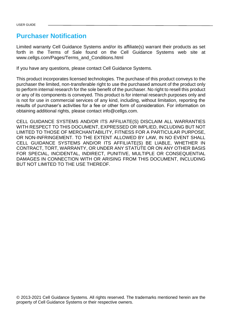### <span id="page-6-0"></span>**Purchaser Notification**

Limited warranty Cell Guidance Systems and/or its affiliate(s) warrant their products as set forth in the Terms of Sale found on the Cell Guidance Systems web site at www.cellgs.com/Pages/Terms\_and\_Conditions.html

If you have any questions, please contact Cell Guidance Systems.

This product incorporates licensed technologies. The purchase of this product conveys to the purchaser the limited, non-transferable right to use the purchased amount of the product only to perform internal research for the sole benefit of the purchaser. No right to resell this product or any of its components is conveyed. This product is for internal research purposes only and is not for use in commercial services of any kind, including, without limitation, reporting the results of purchaser's activities for a fee or other form of consideration. For information on obtaining additional rights, please contact info@cellgs.com.

CELL GUIDANCE SYSTEMS AND/OR ITS AFFILIATE(S) DISCLAIM ALL WARRANTIES WITH RESPECT TO THIS DOCUMENT, EXPRESSED OR IMPLIED, INCLUDING BUT NOT LIMITED TO THOSE OF MERCHANTABILITY, FITNESS FOR A PARTICULAR PURPOSE, OR NON-INFRINGEMENT. TO THE EXTENT ALLOWED BY LAW, IN NO EVENT SHALL CELL GUIDANCE SYSTEMS AND/OR ITS AFFILIATE(S) BE LIABLE, WHETHER IN CONTRACT, TORT, WARRANTY, OR UNDER ANY STATUTE OR ON ANY OTHER BASIS FOR SPECIAL, INCIDENTAL, INDIRECT, PUNITIVE, MULTIPLE OR CONSEQUENTIAL DAMAGES IN CONNECTION WITH OR ARISING FROM THIS DOCUMENT, INCLUDING BUT NOT LIMITED TO THE USE THEREOF.